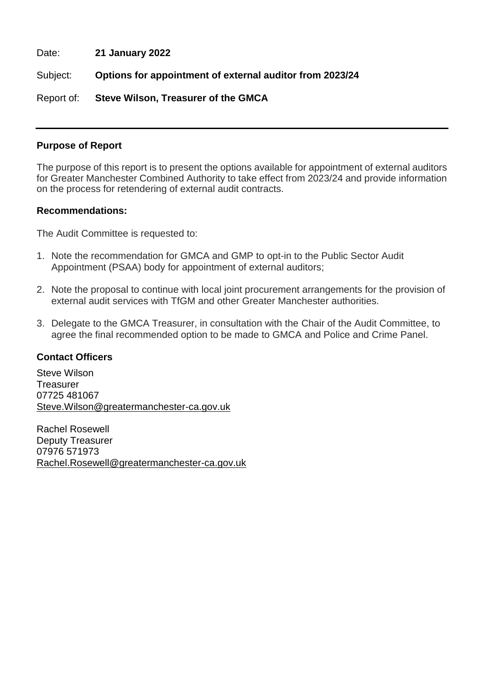Date: **21 January 2022**

Subject: **Options for appointment of external auditor from 2023/24**

Report of: **Steve Wilson, Treasurer of the GMCA**

#### **Purpose of Report**

The purpose of this report is to present the options available for appointment of external auditors for Greater Manchester Combined Authority to take effect from 2023/24 and provide information on the process for retendering of external audit contracts.

#### **Recommendations:**

The Audit Committee is requested to:

- 1. Note the recommendation for GMCA and GMP to opt-in to the Public Sector Audit Appointment (PSAA) body for appointment of external auditors;
- 2. Note the proposal to continue with local joint procurement arrangements for the provision of external audit services with TfGM and other Greater Manchester authorities.
- 3. Delegate to the GMCA Treasurer, in consultation with the Chair of the Audit Committee, to agree the final recommended option to be made to GMCA and Police and Crime Panel.

#### **Contact Officers**

Steve Wilson **Treasurer** 07725 481067 [Steve.Wilson@greatermanchester-ca.gov.uk](mailto:Steve.Wilson@greatermanchester-ca.gov.uk)

Rachel Rosewell Deputy Treasurer 07976 571973 [Rachel.Rosewell@greatermanchester-ca.gov.uk](mailto:Rachel.Rosewell@greatermanchester-ca.gov.uk)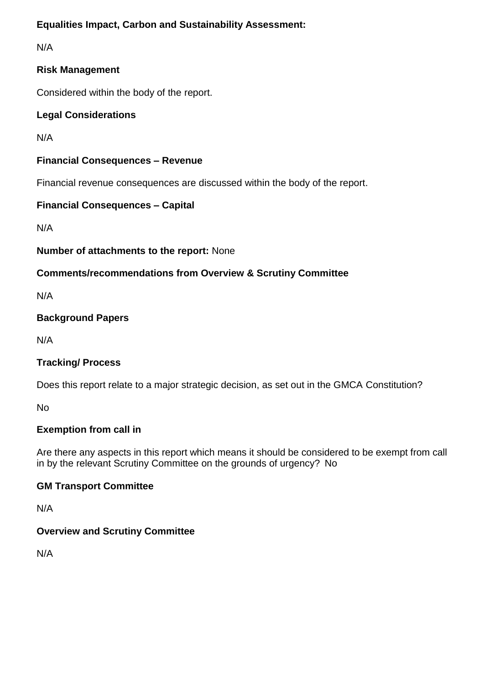# **Equalities Impact, Carbon and Sustainability Assessment:**

N/A

# **Risk Management**

Considered within the body of the report.

# **Legal Considerations**

N/A

## **Financial Consequences – Revenue**

Financial revenue consequences are discussed within the body of the report.

## **Financial Consequences – Capital**

N/A

### **Number of attachments to the report:** None

# **Comments/recommendations from Overview & Scrutiny Committee**

N/A

## **Background Papers**

N/A

# **Tracking/ Process**

Does this report relate to a major strategic decision, as set out in the GMCA Constitution?

No

# **Exemption from call in**

Are there any aspects in this report which means it should be considered to be exempt from call in by the relevant Scrutiny Committee on the grounds of urgency? No

### **GM Transport Committee**

N/A

### **Overview and Scrutiny Committee**

N/A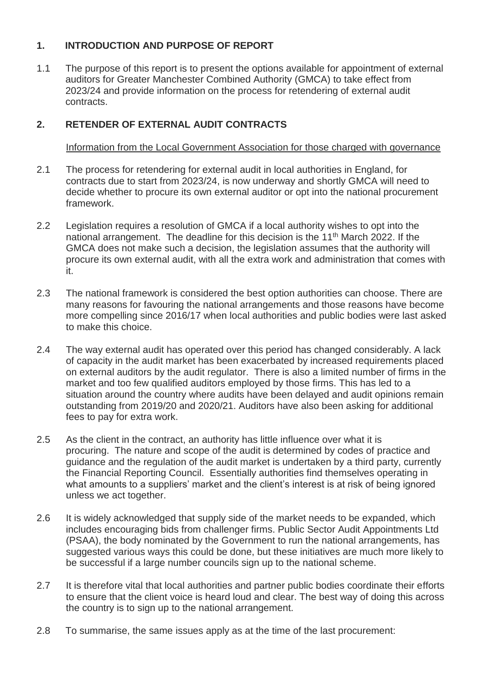# **1. INTRODUCTION AND PURPOSE OF REPORT**

1.1 The purpose of this report is to present the options available for appointment of external auditors for Greater Manchester Combined Authority (GMCA) to take effect from 2023/24 and provide information on the process for retendering of external audit contracts.

## **2. RETENDER OF EXTERNAL AUDIT CONTRACTS**

#### Information from the Local Government Association for those charged with governance

- 2.1 The process for retendering for external audit in local authorities in England, for contracts due to start from 2023/24, is now underway and shortly GMCA will need to decide whether to procure its own external auditor or opt into the national procurement framework.
- 2.2 Legislation requires a resolution of GMCA if a local authority wishes to opt into the national arrangement. The deadline for this decision is the 11<sup>th</sup> March 2022. If the GMCA does not make such a decision, the legislation assumes that the authority will procure its own external audit, with all the extra work and administration that comes with it.
- 2.3 The national framework is considered the best option authorities can choose. There are many reasons for favouring the national arrangements and those reasons have become more compelling since 2016/17 when local authorities and public bodies were last asked to make this choice.
- 2.4 The way external audit has operated over this period has changed considerably. A lack of capacity in the audit market has been exacerbated by increased requirements placed on external auditors by the audit regulator. There is also a limited number of firms in the market and too few qualified auditors employed by those firms. This has led to a situation around the country where audits have been delayed and audit opinions remain outstanding from 2019/20 and 2020/21. Auditors have also been asking for additional fees to pay for extra work.
- 2.5 As the client in the contract, an authority has little influence over what it is procuring. The nature and scope of the audit is determined by codes of practice and guidance and the regulation of the audit market is undertaken by a third party, currently the Financial Reporting Council. Essentially authorities find themselves operating in what amounts to a suppliers' market and the client's interest is at risk of being ignored unless we act together.
- 2.6 It is widely acknowledged that supply side of the market needs to be expanded, which includes encouraging bids from challenger firms. Public Sector Audit Appointments Ltd (PSAA), the body nominated by the Government to run the national arrangements, has suggested various ways this could be done, but these initiatives are much more likely to be successful if a large number councils sign up to the national scheme.
- 2.7 It is therefore vital that local authorities and partner public bodies coordinate their efforts to ensure that the client voice is heard loud and clear. The best way of doing this across the country is to sign up to the national arrangement.
- 2.8 To summarise, the same issues apply as at the time of the last procurement: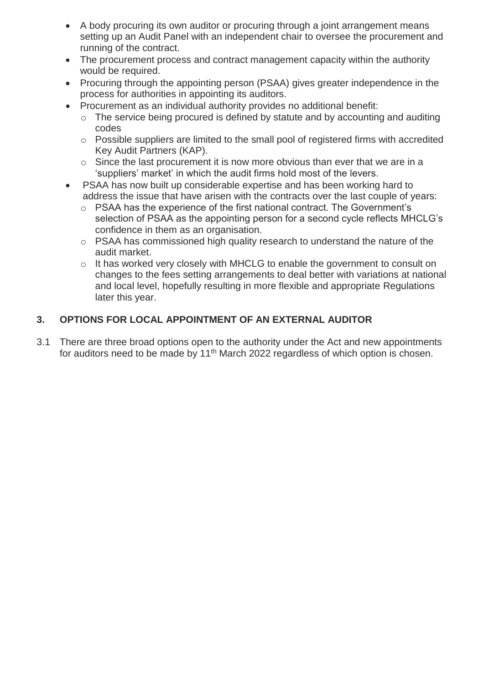- A body procuring its own auditor or procuring through a joint arrangement means setting up an Audit Panel with an independent chair to oversee the procurement and running of the contract.
- The procurement process and contract management capacity within the authority would be required.
- Procuring through the appointing person (PSAA) gives greater independence in the process for authorities in appointing its auditors.
- Procurement as an individual authority provides no additional benefit:
	- o The service being procured is defined by statute and by accounting and auditing codes
	- o Possible suppliers are limited to the small pool of registered firms with accredited Key Audit Partners (KAP).
	- o Since the last procurement it is now more obvious than ever that we are in a 'suppliers' market' in which the audit firms hold most of the levers.
- PSAA has now built up considerable expertise and has been working hard to address the issue that have arisen with the contracts over the last couple of years:
	- $\circ$  PSAA has the experience of the first national contract. The Government's selection of PSAA as the appointing person for a second cycle reflects MHCLG's confidence in them as an organisation.
	- o PSAA has commissioned high quality research to understand the nature of the audit market.
	- o It has worked very closely with MHCLG to enable the government to consult on changes to the fees setting arrangements to deal better with variations at national and local level, hopefully resulting in more flexible and appropriate Regulations later this year.

# **3. OPTIONS FOR LOCAL APPOINTMENT OF AN EXTERNAL AUDITOR**

3.1 There are three broad options open to the authority under the Act and new appointments for auditors need to be made by 11<sup>th</sup> March 2022 regardless of which option is chosen.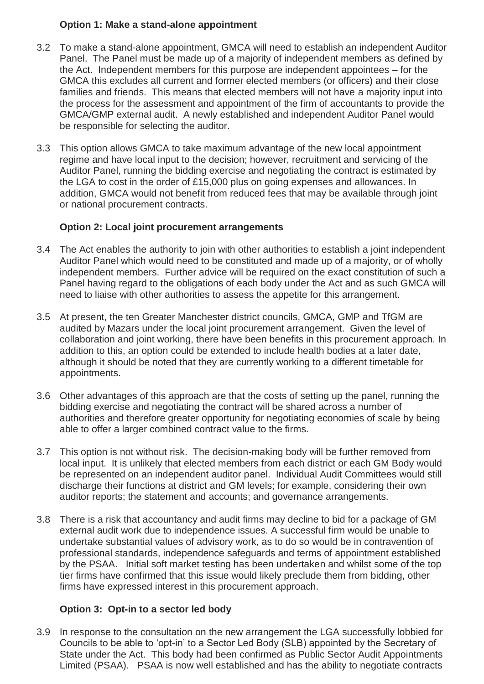#### **Option 1: Make a stand-alone appointment**

- 3.2 To make a stand-alone appointment, GMCA will need to establish an independent Auditor Panel. The Panel must be made up of a majority of independent members as defined by the Act. Independent members for this purpose are independent appointees – for the GMCA this excludes all current and former elected members (or officers) and their close families and friends. This means that elected members will not have a majority input into the process for the assessment and appointment of the firm of accountants to provide the GMCA/GMP external audit. A newly established and independent Auditor Panel would be responsible for selecting the auditor.
- 3.3 This option allows GMCA to take maximum advantage of the new local appointment regime and have local input to the decision; however, recruitment and servicing of the Auditor Panel, running the bidding exercise and negotiating the contract is estimated by the LGA to cost in the order of £15,000 plus on going expenses and allowances. In addition, GMCA would not benefit from reduced fees that may be available through joint or national procurement contracts.

### **Option 2: Local joint procurement arrangements**

- 3.4 The Act enables the authority to join with other authorities to establish a joint independent Auditor Panel which would need to be constituted and made up of a majority, or of wholly independent members. Further advice will be required on the exact constitution of such a Panel having regard to the obligations of each body under the Act and as such GMCA will need to liaise with other authorities to assess the appetite for this arrangement.
- 3.5 At present, the ten Greater Manchester district councils, GMCA, GMP and TfGM are audited by Mazars under the local joint procurement arrangement. Given the level of collaboration and joint working, there have been benefits in this procurement approach. In addition to this, an option could be extended to include health bodies at a later date, although it should be noted that they are currently working to a different timetable for appointments.
- 3.6 Other advantages of this approach are that the costs of setting up the panel, running the bidding exercise and negotiating the contract will be shared across a number of authorities and therefore greater opportunity for negotiating economies of scale by being able to offer a larger combined contract value to the firms.
- 3.7 This option is not without risk. The decision-making body will be further removed from local input. It is unlikely that elected members from each district or each GM Body would be represented on an independent auditor panel. Individual Audit Committees would still discharge their functions at district and GM levels; for example, considering their own auditor reports; the statement and accounts; and governance arrangements.
- 3.8 There is a risk that accountancy and audit firms may decline to bid for a package of GM external audit work due to independence issues. A successful firm would be unable to undertake substantial values of advisory work, as to do so would be in contravention of professional standards, independence safeguards and terms of appointment established by the PSAA. Initial soft market testing has been undertaken and whilst some of the top tier firms have confirmed that this issue would likely preclude them from bidding, other firms have expressed interest in this procurement approach.

### **Option 3: Opt-in to a sector led body**

3.9 In response to the consultation on the new arrangement the LGA successfully lobbied for Councils to be able to 'opt-in' to a Sector Led Body (SLB) appointed by the Secretary of State under the Act. This body had been confirmed as Public Sector Audit Appointments Limited (PSAA). PSAA is now well established and has the ability to negotiate contracts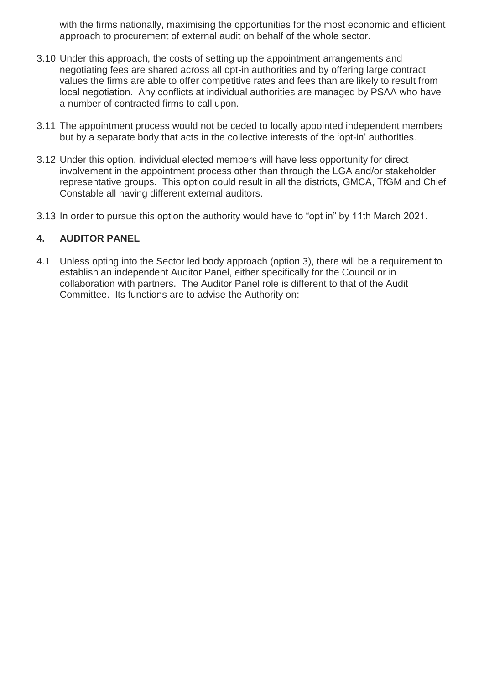with the firms nationally, maximising the opportunities for the most economic and efficient approach to procurement of external audit on behalf of the whole sector.

- 3.10 Under this approach, the costs of setting up the appointment arrangements and negotiating fees are shared across all opt-in authorities and by offering large contract values the firms are able to offer competitive rates and fees than are likely to result from local negotiation. Any conflicts at individual authorities are managed by PSAA who have a number of contracted firms to call upon.
- 3.11 The appointment process would not be ceded to locally appointed independent members but by a separate body that acts in the collective interests of the 'opt-in' authorities.
- 3.12 Under this option, individual elected members will have less opportunity for direct involvement in the appointment process other than through the LGA and/or stakeholder representative groups. This option could result in all the districts, GMCA, TfGM and Chief Constable all having different external auditors.
- 3.13 In order to pursue this option the authority would have to "opt in" by 11th March 2021.

### **4. AUDITOR PANEL**

4.1 Unless opting into the Sector led body approach (option 3), there will be a requirement to establish an independent Auditor Panel, either specifically for the Council or in collaboration with partners. The Auditor Panel role is different to that of the Audit Committee. Its functions are to advise the Authority on: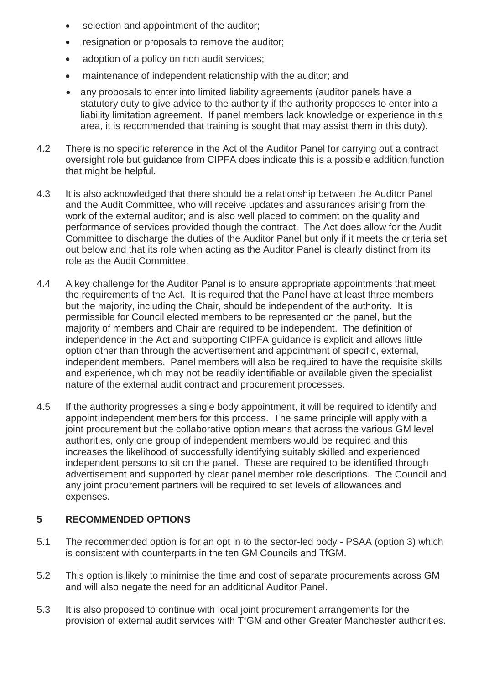- selection and appointment of the auditor:
- resignation or proposals to remove the auditor;
- adoption of a policy on non audit services:
- maintenance of independent relationship with the auditor; and
- any proposals to enter into limited liability agreements (auditor panels have a statutory duty to give advice to the authority if the authority proposes to enter into a liability limitation agreement. If panel members lack knowledge or experience in this area, it is recommended that training is sought that may assist them in this duty).
- 4.2 There is no specific reference in the Act of the Auditor Panel for carrying out a contract oversight role but guidance from CIPFA does indicate this is a possible addition function that might be helpful.
- 4.3 It is also acknowledged that there should be a relationship between the Auditor Panel and the Audit Committee, who will receive updates and assurances arising from the work of the external auditor; and is also well placed to comment on the quality and performance of services provided though the contract. The Act does allow for the Audit Committee to discharge the duties of the Auditor Panel but only if it meets the criteria set out below and that its role when acting as the Auditor Panel is clearly distinct from its role as the Audit Committee.
- 4.4 A key challenge for the Auditor Panel is to ensure appropriate appointments that meet the requirements of the Act. It is required that the Panel have at least three members but the majority, including the Chair, should be independent of the authority. It is permissible for Council elected members to be represented on the panel, but the majority of members and Chair are required to be independent. The definition of independence in the Act and supporting CIPFA guidance is explicit and allows little option other than through the advertisement and appointment of specific, external, independent members. Panel members will also be required to have the requisite skills and experience, which may not be readily identifiable or available given the specialist nature of the external audit contract and procurement processes.
- 4.5 If the authority progresses a single body appointment, it will be required to identify and appoint independent members for this process. The same principle will apply with a joint procurement but the collaborative option means that across the various GM level authorities, only one group of independent members would be required and this increases the likelihood of successfully identifying suitably skilled and experienced independent persons to sit on the panel. These are required to be identified through advertisement and supported by clear panel member role descriptions. The Council and any joint procurement partners will be required to set levels of allowances and expenses.

### **5 RECOMMENDED OPTIONS**

- 5.1 The recommended option is for an opt in to the sector-led body PSAA (option 3) which is consistent with counterparts in the ten GM Councils and TfGM.
- 5.2 This option is likely to minimise the time and cost of separate procurements across GM and will also negate the need for an additional Auditor Panel.
- 5.3 It is also proposed to continue with local joint procurement arrangements for the provision of external audit services with TfGM and other Greater Manchester authorities.